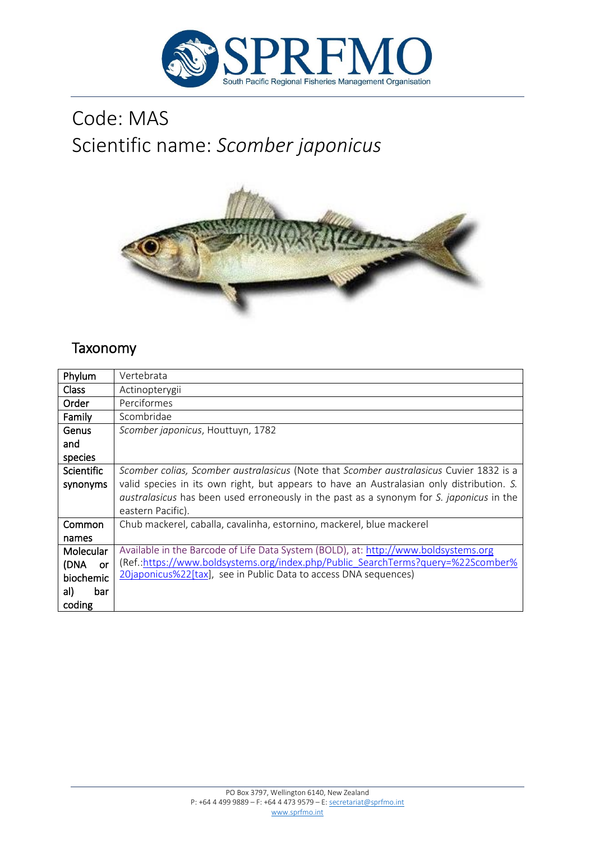

# Code: MAS Scientific name: *Scomber japonicus*



# Taxonomy

| Phylum            | Vertebrata                                                                                      |
|-------------------|-------------------------------------------------------------------------------------------------|
| <b>Class</b>      | Actinopterygii                                                                                  |
| Order             | Perciformes                                                                                     |
| Family            | Scombridae                                                                                      |
| Genus             | Scomber japonicus, Houttuyn, 1782                                                               |
| and               |                                                                                                 |
| species           |                                                                                                 |
| <b>Scientific</b> | Scomber colias, Scomber australasicus (Note that Scomber australasicus Cuvier 1832 is a         |
| synonyms          | valid species in its own right, but appears to have an Australasian only distribution. S.       |
|                   | <i>australasicus</i> has been used erroneously in the past as a synonym for S. japonicus in the |
|                   | eastern Pacific).                                                                               |
| Common            | Chub mackerel, caballa, cavalinha, estornino, mackerel, blue mackerel                           |
| names             |                                                                                                 |
| Molecular         | Available in the Barcode of Life Data System (BOLD), at: http://www.boldsystems.org             |
| (DNA<br>or        | (Ref.:https://www.boldsystems.org/index.php/Public SearchTerms?query=%22Scomber%                |
| biochemic         | 20japonicus%22[tax], see in Public Data to access DNA sequences)                                |
| al)<br>bar        |                                                                                                 |
| coding            |                                                                                                 |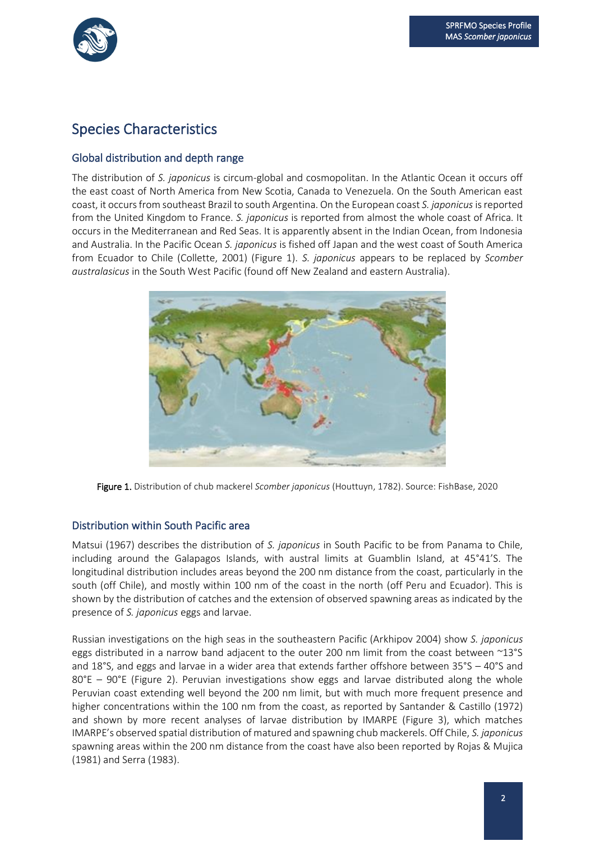

# Species Characteristics

# Global distribution and depth range

The distribution of *S. japonicus* is circum-global and cosmopolitan. In the Atlantic Ocean it occurs off the east coast of North America from New Scotia, Canada to Venezuela. On the South American east coast, it occurs from southeast Brazil to south Argentina. On the European coast *S. japonicus*is reported from the United Kingdom to France. *S. japonicus* is reported from almost the whole coast of Africa. It occurs in the Mediterranean and Red Seas. It is apparently absent in the Indian Ocean, from Indonesia and Australia. In the Pacific Ocean *S. japonicus* is fished off Japan and the west coast of South America from Ecuador to Chile (Collette, 2001) (Figure 1). *S. japonicus* appears to be replaced by *Scomber australasicus* in the South West Pacific (found off New Zealand and eastern Australia).



Figure 1. Distribution of chub mackerel *Scomber japonicus* (Houttuyn, 1782). Source: FishBase, 2020

### Distribution within South Pacific area

Matsui (1967) describes the distribution of *S. japonicus* in South Pacific to be from Panama to Chile, including around the Galapagos Islands, with austral limits at Guamblin Island, at 45°41'S. The longitudinal distribution includes areas beyond the 200 nm distance from the coast, particularly in the south (off Chile), and mostly within 100 nm of the coast in the north (off Peru and Ecuador). This is shown by the distribution of catches and the extension of observed spawning areas as indicated by the presence of *S. japonicus* eggs and larvae.

Russian investigations on the high seas in the southeastern Pacific (Arkhipov 2004) show *S. japonicus* eggs distributed in a narrow band adjacent to the outer 200 nm limit from the coast between ~13°S and 18°S, and eggs and larvae in a wider area that extends farther offshore between 35°S – 40°S and 80°E – 90°E (Figure 2). Peruvian investigations show eggs and larvae distributed along the whole Peruvian coast extending well beyond the 200 nm limit, but with much more frequent presence and higher concentrations within the 100 nm from the coast, as reported by Santander & Castillo (1972) and shown by more recent analyses of larvae distribution by IMARPE (Figure 3), which matches IMARPE's observed spatial distribution of matured and spawning chub mackerels. Off Chile, *S. japonicus* spawning areas within the 200 nm distance from the coast have also been reported by Rojas & Mujica (1981) and Serra (1983).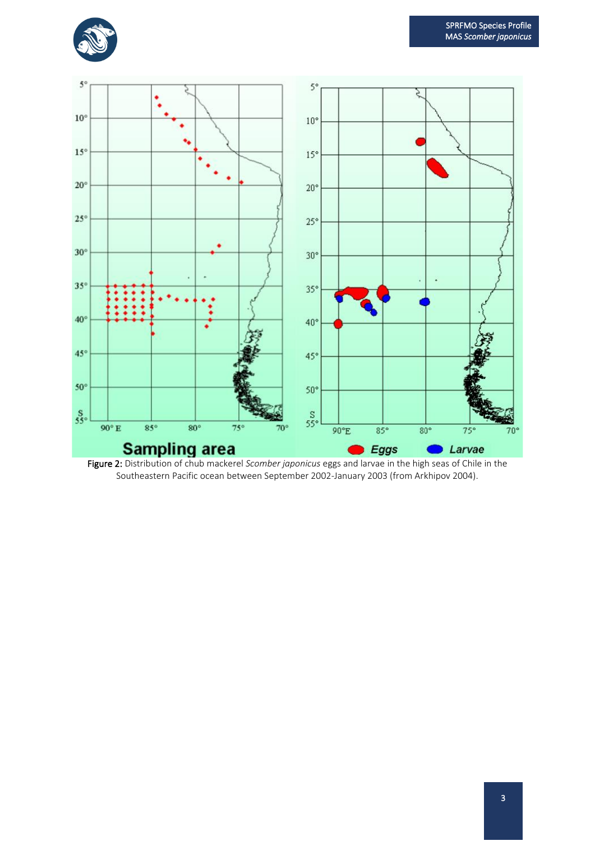



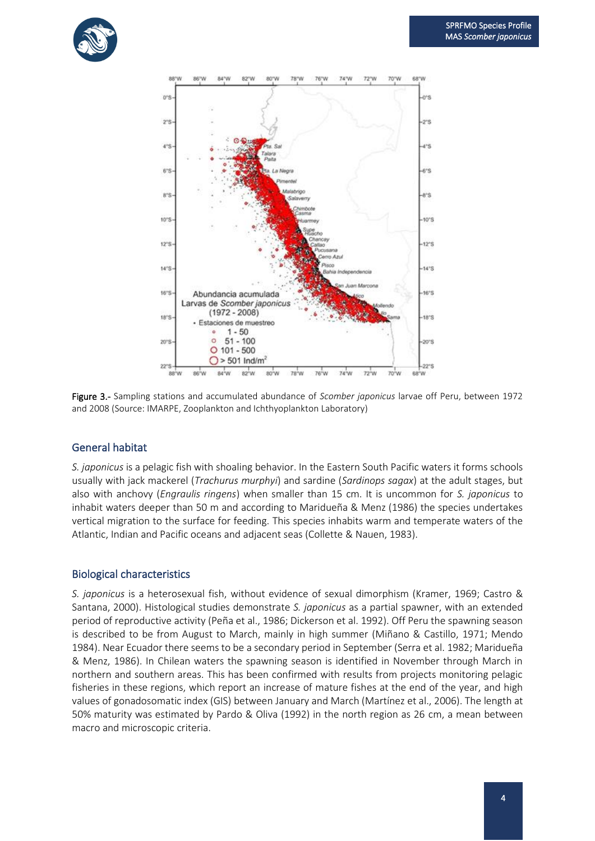



Figure 3.- Sampling stations and accumulated abundance of *Scomber japonicus* larvae off Peru, between 1972 and 2008 (Source: IMARPE, Zooplankton and Ichthyoplankton Laboratory)

### General habitat

*S. japonicus* is a pelagic fish with shoaling behavior. In the Eastern South Pacific waters it forms schools usually with jack mackerel (*Trachurus murphyi*) and sardine (*Sardinops sagax*) at the adult stages, but also with anchovy (*Engraulis ringens*) when smaller than 15 cm. It is uncommon for *S. japonicus* to inhabit waters deeper than 50 m and according to Maridueña & Menz (1986) the species undertakes vertical migration to the surface for feeding. This species inhabits warm and temperate waters of the Atlantic, Indian and Pacific oceans and adjacent seas (Collette & Nauen, 1983).

#### Biological characteristics

*S. japonicus* is a heterosexual fish, without evidence of sexual dimorphism (Kramer, 1969; Castro & Santana, 2000). Histological studies demonstrate *S. japonicus* as a partial spawner, with an extended period of reproductive activity (Peña et al., 1986; Dickerson et al. 1992). Off Peru the spawning season is described to be from August to March, mainly in high summer (Miñano & Castillo, 1971; Mendo 1984). Near Ecuador there seems to be a secondary period in September (Serra et al. 1982; Maridueña & Menz, 1986). In Chilean waters the spawning season is identified in November through March in northern and southern areas. This has been confirmed with results from projects monitoring pelagic fisheries in these regions, which report an increase of mature fishes at the end of the year, and high values of gonadosomatic index (GIS) between January and March (Martínez et al., 2006). The length at 50% maturity was estimated by Pardo & Oliva (1992) in the north region as 26 cm, a mean between macro and microscopic criteria.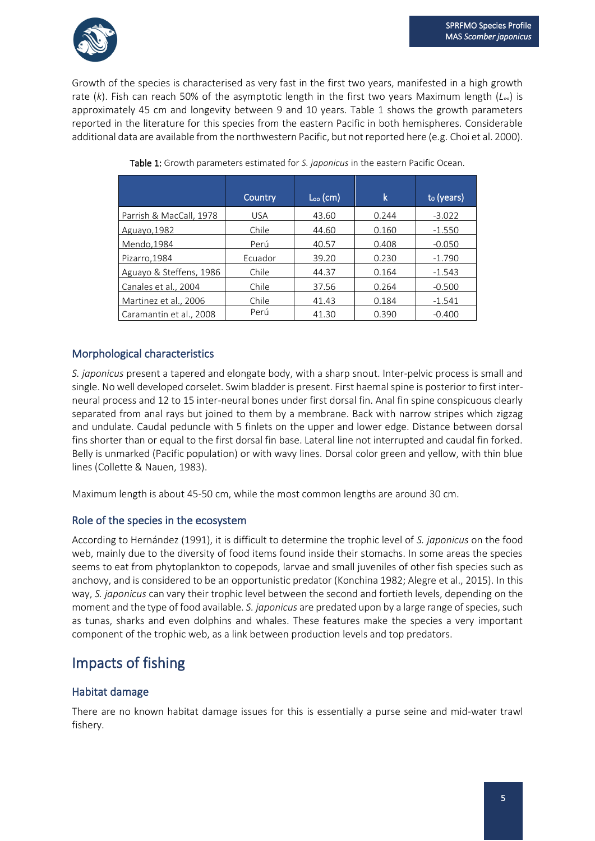

Growth of the species is characterised as very fast in the first two years, manifested in a high growth rate (*k*). Fish can reach 50% of the asymptotic length in the first two years Maximum length (*L∞*) is approximately 45 cm and longevity between 9 and 10 years. Table 1 shows the growth parameters reported in the literature for this species from the eastern Pacific in both hemispheres. Considerable additional data are available from the northwestern Pacific, but not reported here (e.g. Choi et al. 2000).

|                         | Country    | $L_{oo}$ (cm) | k     | t <sub>o</sub> (years) |
|-------------------------|------------|---------------|-------|------------------------|
| Parrish & MacCall, 1978 | <b>USA</b> | 43.60         | 0.244 | $-3.022$               |
| Aguayo, 1982            | Chile      | 44.60         | 0.160 | $-1.550$               |
| Mendo, 1984             | Perú       | 40.57         | 0.408 | $-0.050$               |
| Pizarro, 1984           | Ecuador    | 39.20         | 0.230 | $-1.790$               |
| Aguayo & Steffens, 1986 | Chile      | 44.37         | 0.164 | $-1.543$               |
| Canales et al., 2004    | Chile      | 37.56         | 0.264 | $-0.500$               |
| Martinez et al., 2006   | Chile      | 41.43         | 0.184 | $-1.541$               |
| Caramantin et al., 2008 | Perú       | 41.30         | 0.390 | $-0.400$               |

Table 1: Growth parameters estimated for *S. japonicus* in the eastern Pacific Ocean.

# Morphological characteristics

*S. japonicus* present a tapered and elongate body, with a sharp snout. Inter-pelvic process is small and single. No well developed corselet. Swim bladder is present. First haemal spine is posterior to first interneural process and 12 to 15 inter-neural bones under first dorsal fin. Anal fin spine conspicuous clearly separated from anal rays but joined to them by a membrane. Back with narrow stripes which zigzag and undulate. Caudal peduncle with 5 finlets on the upper and lower edge. Distance between dorsal fins shorter than or equal to the first dorsal fin base. Lateral line not interrupted and caudal fin forked. Belly is unmarked (Pacific population) or with wavy lines. Dorsal color green and yellow, with thin blue lines (Collette & Nauen, 1983).

Maximum length is about 45-50 cm, while the most common lengths are around 30 cm.

# Role of the species in the ecosystem

According to Hernández (1991), it is difficult to determine the trophic level of *S. japonicus* on the food web, mainly due to the diversity of food items found inside their stomachs. In some areas the species seems to eat from phytoplankton to copepods, larvae and small juveniles of other fish species such as anchovy, and is considered to be an opportunistic predator (Konchina 1982; Alegre et al., 2015). In this way, *S. japonicus* can vary their trophic level between the second and fortieth levels, depending on the moment and the type of food available. *S. japonicus* are predated upon by a large range of species, such as tunas, sharks and even dolphins and whales. These features make the species a very important component of the trophic web, as a link between production levels and top predators.

# Impacts of fishing

# Habitat damage

There are no known habitat damage issues for this is essentially a purse seine and mid-water trawl fishery.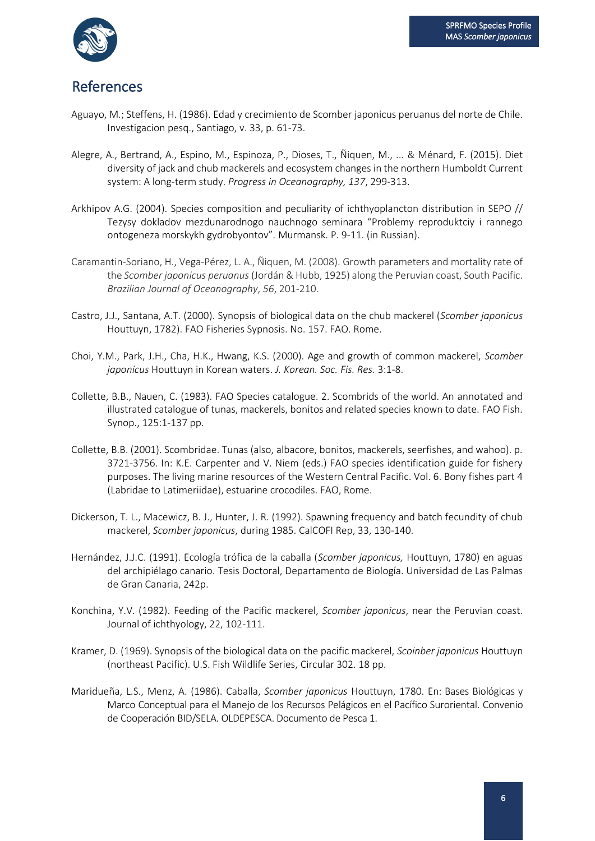

# References

- Aguayo, M.; Steffens, H. (1986). Edad y crecimiento de Scomber japonicus peruanus del norte de Chile. Investigacion pesq., Santiago, v. 33, p. 61-73.
- Alegre, A., Bertrand, A., Espino, M., Espinoza, P., Dioses, T., Ñiquen, M., ... & Ménard, F. (2015). Diet diversity of jack and chub mackerels and ecosystem changes in the northern Humboldt Current system: A long-term study. *Progress in Oceanography, 137*, 299-313.
- Arkhipov A.G. (2004). Species composition and peculiarity of ichthyoplancton distribution in SEPO // Tezysy dokladov mezdunarodnogo nauchnogo seminara "Problemy reproduktciy i rannego ontogeneza morskykh gydrobyontov". Murmansk. P. 9-11. (in Russian).
- Caramantin-Soriano, H., Vega-Pérez, L. A., Ñiquen, M. (2008). Growth parameters and mortality rate of the *Scomber japonicus peruanus* (Jordán & Hubb, 1925) along the Peruvian coast, South Pacific. *Brazilian Journal of Oceanography*, *56*, 201-210.
- Castro, J.J., Santana, A.T. (2000). Synopsis of biological data on the chub mackerel (*Scomber japonicus* Houttuyn, 1782). FAO Fisheries Sypnosis. No. 157. FAO. Rome.
- Choi, Y.M., Park, J.H., Cha, H.K., Hwang, K.S. (2000). Age and growth of common mackerel, *Scomber japonicus* Houttuyn in Korean waters. *J. Korean. Soc. Fis. Res.* 3:1-8.
- Collette, B.B., Nauen, C. (1983). FAO Species catalogue. 2. Scombrids of the world. An annotated and illustrated catalogue of tunas, mackerels, bonitos and related species known to date. FAO Fish. Synop., 125:1-137 pp.
- Collette, B.B. (2001). Scombridae. Tunas (also, albacore, bonitos, mackerels, seerfishes, and wahoo). p. 3721-3756. In: K.E. Carpenter and V. Niem (eds.) FAO species identification guide for fishery purposes. The living marine resources of the Western Central Pacific. Vol. 6. Bony fishes part 4 (Labridae to Latimeriidae), estuarine crocodiles. FAO, Rome.
- Dickerson, T. L., Macewicz, B. J., Hunter, J. R. (1992). Spawning frequency and batch fecundity of chub mackerel, *Scomber japonicus*, during 1985. CalCOFI Rep, 33, 130-140.
- Hernández, J.J.C. (1991). Ecología trófica de la caballa (*Scomber japonicus,* Houttuyn, 1780) en aguas del archipiélago canario. Tesis Doctoral, Departamento de Biología. Universidad de Las Palmas de Gran Canaria, 242p.
- Konchina, Y.V. (1982). Feeding of the Pacific mackerel, *Scomber japonicus*, near the Peruvian coast. Journal of ichthyology, 22, 102-111.
- Kramer, D. (1969). Synopsis of the biological data on the pacific mackerel, *Scoinber japonicus* Houttuyn (northeast Pacific). U.S. Fish Wildlife Series, Circular 302. 18 pp.
- Maridueña, L.S., Menz, A. (1986). Caballa, *Scomber japonicus* Houttuyn, 1780. En: Bases Biológicas y Marco Conceptual para el Manejo de los Recursos Pelágicos en el Pacífico Suroriental. Convenio de Cooperación BID/SELA. OLDEPESCA. Documento de Pesca 1.